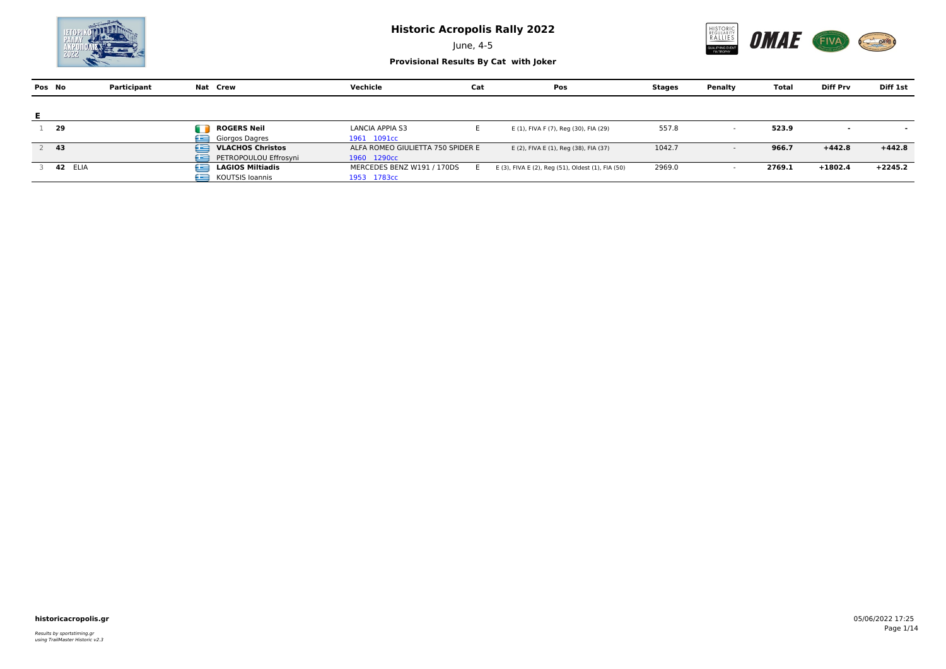June, 4-5





|    | Pos No  | Participant | Nat Crew                     | Vechicle                          | Cat | Pos                                               | Stages | Penalty                  | Total  | <b>Diff Prv</b> | Diff 1st                 |
|----|---------|-------------|------------------------------|-----------------------------------|-----|---------------------------------------------------|--------|--------------------------|--------|-----------------|--------------------------|
|    |         |             |                              |                                   |     |                                                   |        |                          |        |                 |                          |
| Е. |         |             |                              |                                   |     |                                                   |        |                          |        |                 |                          |
|    | - 29    |             | m<br><b>ROGERS Neil</b>      | LANCIA APPIA S3                   |     | E (1), FIVA F (7), Reg (30), FIA (29)             | 557.8  | $\overline{\phantom{a}}$ | 523.9  | $\sim$          | $\overline{\phantom{a}}$ |
|    |         |             | Giorgos Dagres<br>صه         | 1961 1091cc                       |     |                                                   |        |                          |        |                 |                          |
|    | -43     |             | <b>VLACHOS Christos</b><br>œ | ALFA ROMEO GIULIETTA 750 SPIDER E |     | E (2), FIVA E (1), Reg (38), FIA (37)             | 1042.7 | $\overline{\phantom{a}}$ | 966.7  | $+442.8$        | $+442.8$                 |
|    |         |             | œ<br>PETROPOULOU Effrosyni   | 1960 1290cc                       |     |                                                   |        |                          |        |                 |                          |
|    | 42 ELIA |             | œ<br><b>LAGIOS Miltiadis</b> | MERCEDES BENZ W191 / 170DS        |     | E (3), FIVA E (2), Reg (51), Oldest (1), FIA (50) | 2969.0 |                          | 2769.1 | $+1802.4$       | $+2245.2$                |
|    |         |             | œ<br>KOUTSIS Ioannis         | 1953 1783cc                       |     |                                                   |        |                          |        |                 |                          |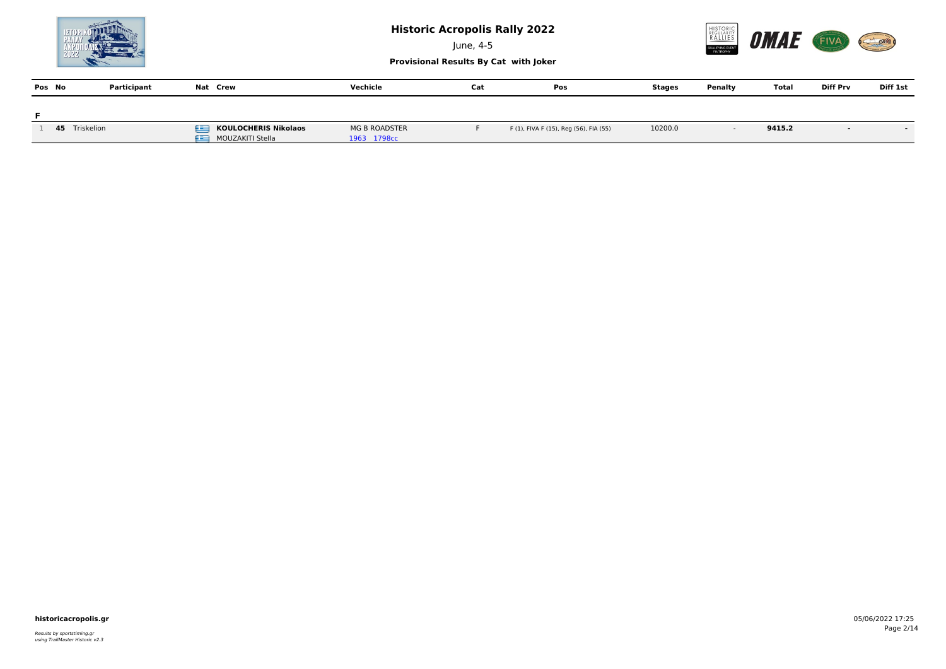

June, 4-5



|        |             |          |          | Provisional Results by Cat With Joker |     |               |         |       |                 |          |
|--------|-------------|----------|----------|---------------------------------------|-----|---------------|---------|-------|-----------------|----------|
| Pos No | Participant | Nat Crew | Vechicle | Cat                                   | Pos | <b>Stages</b> | Penalty | Total | <b>Diff Prv</b> | Diff 1st |
|        |             |          |          |                                       |     |               |         |       |                 |          |

| Triskelion | <b>KOULOCHERIS Nikolaos</b>   | <b>MG B ROADSTER</b>    | F (1), FIVA F (15), Reg (56), FIA (55) | 10200.0 | 9415.2 |  |
|------------|-------------------------------|-------------------------|----------------------------------------|---------|--------|--|
|            | __<br><b>MOUZAKITI Stella</b> | 1709.<br>$\perp$ , soc. |                                        |         |        |  |

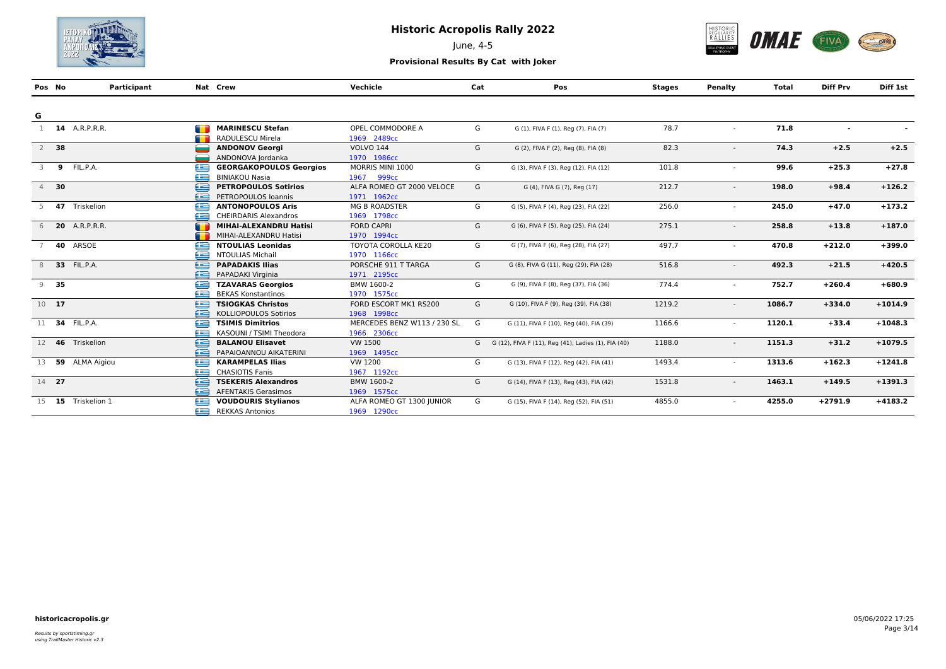

June, 4-5



| Pos No |        | Participant            |                               | Nat Crew                       | Vechicle                    | Cat | Pos                                                 | <b>Stages</b> | Penalty                  | Total  | <b>Diff Prv</b> | Diff 1st  |
|--------|--------|------------------------|-------------------------------|--------------------------------|-----------------------------|-----|-----------------------------------------------------|---------------|--------------------------|--------|-----------------|-----------|
|        |        |                        |                               |                                |                             |     |                                                     |               |                          |        |                 |           |
| G      |        |                        |                               |                                |                             |     |                                                     |               |                          |        |                 |           |
|        |        | 1 <b>14</b> A.R.P.R.R. | œ                             | <b>MARINESCU Stefan</b>        | OPEL COMMODORE A            | G   | G (1), FIVA F (1), Reg (7), FIA (7)                 | 78.7          | $\sim$                   | 71.8   | $\blacksquare$  |           |
|        |        |                        |                               | RADULESCU Mirela               | 1969 2489cc                 |     |                                                     |               |                          |        |                 |           |
|        | $2$ 38 |                        |                               | <b>ANDONOV Georgi</b>          | <b>VOLVO 144</b>            | G   | G (2), FIVA F (2), Reg (8), FIA (8)                 | 82.3          |                          | 74.3   | $+2.5$          | $+2.5$    |
|        |        |                        |                               | ANDONOVA Jordanka              | 1970 1986сс                 |     |                                                     |               |                          |        |                 |           |
| 3      | 9      | FIL.P.A.               | œ                             | <b>GEORGAKOPOULOS Georgios</b> | MORRIS MINI 1000            | G   | G (3), FIVA F (3), Reg (12), FIA (12)               | 101.8         |                          | 99.6   | $+25.3$         | $+27.8$   |
|        |        |                        | æ                             | <b>BINIAKOU Nasia</b>          | 1967<br>999 <sub>cc</sub>   |     |                                                     |               |                          |        |                 |           |
|        | 4 30   |                        | £                             | <b>PETROPOULOS Sotirios</b>    | ALFA ROMEO GT 2000 VELOCE   | G   | G (4), FIVA G (7), Reg (17)                         | 212.7         | $\overline{\phantom{a}}$ | 198.0  | $+98.4$         | $+126.2$  |
|        |        |                        | £                             | PETROPOULOS Ioannis            | 1971 1962cc                 |     |                                                     |               |                          |        |                 |           |
|        |        | 47 Triskelion          | ≘                             | <b>ANTONOPOULOS Aris</b>       | <b>MG B ROADSTER</b>        | G   | G (5), FIVA F (4), Reg (23), FIA (22)               | 256.0         |                          | 245.0  | $+47.0$         | $+173.2$  |
|        |        |                        | æ                             | <b>CHEIRDARIS Alexandros</b>   | 1969 1798cc                 |     |                                                     |               |                          |        |                 |           |
|        |        | 6 <b>20</b> A.R.P.R.R. | <b>The Contract of Street</b> | <b>MIHAI-ALEXANDRU Hatisi</b>  | <b>FORD CAPRI</b>           | G   | G (6), FIVA F (5), Reg (25), FIA (24)               | 275.1         | $\overline{\phantom{a}}$ | 258.8  | $+13.8$         | $+187.0$  |
|        |        |                        | <b>SHOP</b>                   | MIHAI-ALEXANDRU Hatisi         | 1970 1994cc                 |     |                                                     |               |                          |        |                 |           |
|        |        | 40 ARSOE               | £                             | <b>NTOULIAS Leonidas</b>       | <b>TOYOTA COROLLA KE20</b>  | G   | G (7), FIVA F (6), Reg (28), FIA (27)               | 497.7         | $\sim$                   | 470.8  | $+212.0$        | $+399.0$  |
|        |        |                        | æ                             | <b>NTOULIAS Michail</b>        | 1970 1166cc                 |     |                                                     |               |                          |        |                 |           |
|        |        | 33 FIL.P.A.            | ∈                             | <b>PAPADAKIS Ilias</b>         | PORSCHE 911 T TARGA         | G   | G (8), FIVA G (11), Reg (29), FIA (28)              | 516.8         |                          | 492.3  | $+21.5$         | $+420.5$  |
|        |        |                        | æ                             | PAPADAKI Virginia              | 1971 2195cc                 |     |                                                     |               |                          |        |                 |           |
|        | $9$ 35 |                        | e                             | <b>TZAVARAS Georgios</b>       | BMW 1600-2                  | G   | G (9), FIVA F (8), Reg (37), FIA (36)               | 774.4         |                          | 752.7  | $+260.4$        | $+680.9$  |
|        |        |                        | æ                             | <b>BEKAS Konstantinos</b>      | 1970 1575cc                 |     |                                                     |               |                          |        |                 |           |
| 10 17  |        |                        | ⊟                             | <b>TSIOGKAS Christos</b>       | FORD ESCORT MK1 RS200       | G   | G (10), FIVA F (9), Reg (39), FIA (38)              | 1219.2        |                          | 1086.7 | $+334.0$        | $+1014.9$ |
|        |        |                        | æ                             | <b>KOLLIOPOULOS Sotirios</b>   | 1968 1998cc                 |     |                                                     |               |                          |        |                 |           |
|        |        | 11 34 FIL.P.A.         | £                             | <b>TSIMIS Dimitrios</b>        | MERCEDES BENZ W113 / 230 SL | G   | G (11), FIVA F (10), Reg (40), FIA (39)             | 1166.6        | $\sim$                   | 1120.1 | $+33.4$         | $+1048.3$ |
|        |        |                        | £                             | KASOUNI / TSIMI Theodora       | 1966 2306сс                 |     |                                                     |               |                          |        |                 |           |
| 12     | 46     | Triskelion             | £                             | <b>BALANOU Elisavet</b>        | <b>VW 1500</b>              | G   | G (12), FIVA F (11), Reg (41), Ladies (1), FIA (40) | 1188.0        | $\sim$                   | 1151.3 | $+31.2$         | $+1079.5$ |
|        |        |                        | £                             | PAPAIOANNOU AIKATERINI         | 1969 1495cc                 |     |                                                     |               |                          |        |                 |           |
|        |        | 13 59 ALMA Aigiou      | £                             | <b>KARAMPELAS Ilias</b>        | VW 1200                     | G   | G (13), FIVA F (12), Reg (42), FIA (41)             | 1493.4        |                          | 1313.6 | $+162.3$        | $+1241.8$ |
|        |        |                        | æ                             | <b>CHASIOTIS Fanis</b>         | 1967 1192cc                 |     |                                                     |               |                          |        |                 |           |
| 14 27  |        |                        | Æ                             | <b>TSEKERIS Alexandros</b>     | BMW 1600-2                  | G   | G (14), FIVA F (13), Reg (43), FIA (42)             | 1531.8        | $\overline{\phantom{a}}$ | 1463.1 | $+149.5$        | $+1391.3$ |
|        |        |                        | æ                             | <b>AFENTAKIS Gerasimos</b>     | 1969 1575cc                 |     |                                                     |               |                          |        |                 |           |
|        |        | 15 15 Triskelion 1     | £                             | <b>VOUDOURIS Stylianos</b>     | ALFA ROMEO GT 1300 JUNIOR   | G   | G (15), FIVA F (14), Reg (52), FIA (51)             | 4855.0        |                          | 4255.0 | $+2791.9$       | $+4183.2$ |
|        |        |                        | £                             | <b>REKKAS Antonios</b>         | 1969 1290cc                 |     |                                                     |               |                          |        |                 |           |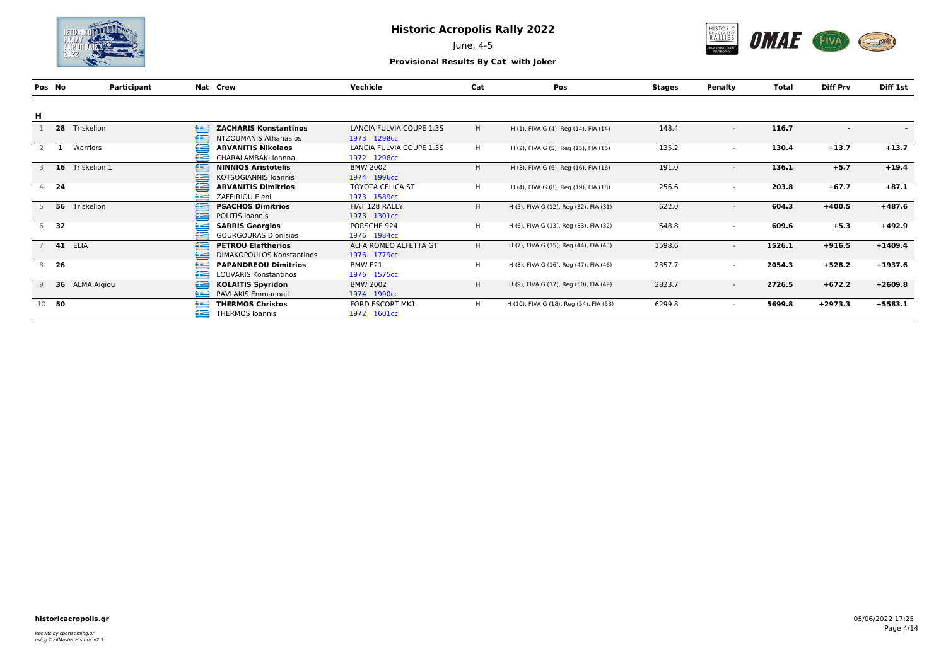

June, 4-5



| Pos No |         | Participant       | Nat Crew                              | Vechicle                 | Cat | Pos                                     | Stages | Penalty                  | Total  | <b>Diff Prv</b>          | Diff 1st  |
|--------|---------|-------------------|---------------------------------------|--------------------------|-----|-----------------------------------------|--------|--------------------------|--------|--------------------------|-----------|
|        |         |                   |                                       |                          |     |                                         |        |                          |        |                          |           |
| н      |         |                   |                                       |                          |     |                                         |        |                          |        |                          |           |
|        | 28      | Triskelion<br>£   | <b>ZACHARIS Konstantinos</b>          | LANCIA FULVIA COUPE 1.3S | H   | H (1), FIVA G (4), Reg (14), FIA (14)   | 148.4  | $\overline{\phantom{a}}$ | 116.7  | $\overline{\phantom{a}}$ | $\sim$    |
|        |         |                   | £<br>NTZOUMANIS Athanasios            | 1973 1298cc              |     |                                         |        |                          |        |                          |           |
|        |         | Warriors          | e<br><b>ARVANITIS Nikolaos</b>        | LANCIA FULVIA COUPE 1.3S | H   | H (2), FIVA G (5), Reg (15), FIA (15)   | 135.2  | $\overline{\phantom{a}}$ | 130.4  | $+13.7$                  | $+13.7$   |
|        |         |                   | £<br>CHARALAMBAKI Ioanna              | 1972 1298cc              |     |                                         |        |                          |        |                          |           |
|        | 16      | ≘<br>Triskelion 1 | <b>NINNIOS Aristotelis</b>            | <b>BMW 2002</b>          | H   | H (3), FIVA G (6), Reg (16), FIA (16)   | 191.0  | $\overline{\phantom{a}}$ | 136.1  | $+5.7$                   | $+19.4$   |
|        |         |                   | £<br><b>KOTSOGIANNIS Ioannis</b>      | 1974 1996сс              |     |                                         |        |                          |        |                          |           |
|        | 24      |                   | £<br><b>ARVANITIS Dimitrios</b>       | <b>TOYOTA CELICA ST</b>  | H.  | H (4), FIVA G (8), Reg (19), FIA (18)   | 256.6  | $\overline{\phantom{a}}$ | 203.8  | $+67.7$                  | $+87.1$   |
|        |         |                   | £<br>ZAFEIRIOU Eleni                  | 1973 1589cc              |     |                                         |        |                          |        |                          |           |
|        |         | 56 Triskelion     | ∈<br><b>PSACHOS Dimitrios</b>         | FIAT 128 RALLY           | H   | H (5), FIVA G (12), Reg (32), FIA (31)  | 622.0  | $\overline{\phantom{a}}$ | 604.3  | $+400.5$                 | $+487.6$  |
|        |         |                   | ≘<br><b>POLITIS Ioannis</b>           | 1973 1301cc              |     |                                         |        |                          |        |                          |           |
| 6      | - 32    |                   | ∈<br><b>SARRIS Georgios</b>           | PORSCHE 924              | H   | H (6), FIVA G (13), Reg (33), FIA (32)  | 648.8  | $\overline{\phantom{a}}$ | 609.6  | $+5.3$                   | $+492.9$  |
|        |         |                   | £<br><b>GOURGOURAS Dionisios</b>      | 1976 1984cc              |     |                                         |        |                          |        |                          |           |
|        |         | <b>41 ELIA</b>    | ∈<br><b>PETROU Eleftherios</b>        | ALFA ROMEO ALFETTA GT    | H   | H (7), FIVA G (15), Reg (44), FIA (43)  | 1598.6 | $\overline{\phantom{a}}$ | 1526.1 | $+916.5$                 | $+1409.4$ |
|        |         |                   | æ<br><b>DIMAKOPOULOS Konstantinos</b> | 1976 1779cc              |     |                                         |        |                          |        |                          |           |
| 8      | - 26    | £                 | <b>PAPANDREOU Dimitrios</b>           | BMW E21                  | H   | H (8), FIVA G (16), Reg (47), FIA (46)  | 2357.7 | $\overline{\phantom{a}}$ | 2054.3 | $+528.2$                 | $+1937.6$ |
|        |         |                   | £<br>LOUVARIS Konstantinos            | 1976 1575cc              |     |                                         |        |                          |        |                          |           |
|        |         | 36 ALMA Aigiou    | ⊟<br><b>KOLAITIS Spyridon</b>         | <b>BMW 2002</b>          | H   | H (9), FIVA G (17), Reg (50), FIA (49)  | 2823.7 | $\overline{\phantom{a}}$ | 2726.5 | $+672.2$                 | $+2609.8$ |
|        |         |                   | £<br>PAVLAKIS Emmanouil               | 1974 1990cc              |     |                                         |        |                          |        |                          |           |
|        | $10$ 50 |                   | e<br><b>THERMOS Christos</b>          | FORD ESCORT MK1          | H   | H (10), FIVA G (18), Reg (54), FIA (53) | 6299.8 | $\overline{\phantom{a}}$ | 5699.8 | $+2973.3$                | $+5583.1$ |
|        |         |                   | £<br>THERMOS Ioannis                  | 1972 1601cc              |     |                                         |        |                          |        |                          |           |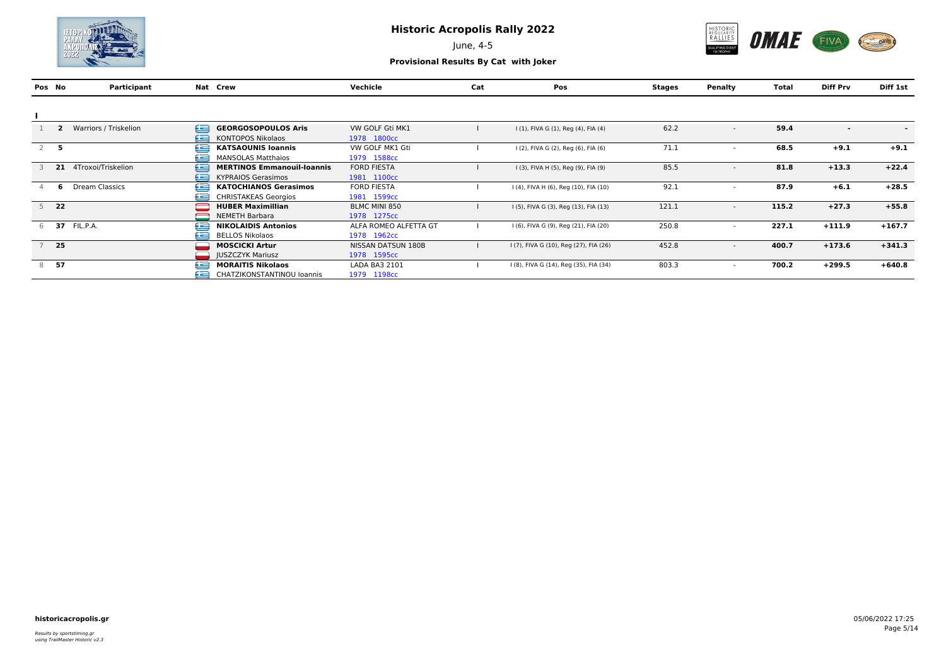

June, 4-5



|                | Pos No | Participant           |   | Nat Crew                          | Vechicle              | Cat | Pos                                    | Stages | Penalty                  | Total | <b>Diff Prv</b>          | Diff 1st                 |
|----------------|--------|-----------------------|---|-----------------------------------|-----------------------|-----|----------------------------------------|--------|--------------------------|-------|--------------------------|--------------------------|
|                |        |                       |   |                                   |                       |     |                                        |        |                          |       |                          |                          |
|                |        |                       |   |                                   |                       |     |                                        |        |                          |       |                          |                          |
|                |        | Warriors / Triskelion | £ | <b>GEORGOSOPOULOS Aris</b>        | VW GOLF Gti MK1       |     | I (1), FIVA G (1), Reg (4), FIA (4)    | 62.2   | $\overline{\phantom{a}}$ | 59.4  | $\overline{\phantom{0}}$ | $\overline{\phantom{a}}$ |
|                |        |                       | £ | <b>KONTOPOS Nikolaos</b>          | 1978 1800cc           |     |                                        |        |                          |       |                          |                          |
| $\overline{2}$ | - 5    |                       | Œ | <b>KATSAOUNIS Ioannis</b>         | VW GOLF MK1 Gti       |     | I (2), FIVA G (2), Reg (6), FIA (6)    | 71.1   |                          | 68.5  | $+9.1$                   | $+9.1$                   |
|                |        |                       | £ | <b>MANSOLAS Matthaios</b>         | 1979 1588cc           |     |                                        |        |                          |       |                          |                          |
|                |        | 21 4Troxoi/Triskelion | ≘ | <b>MERTINOS Emmanouil-Ioannis</b> | <b>FORD FIESTA</b>    |     | I (3), FIVA H (5), Reg (9), FIA (9)    | 85.5   |                          | 81.8  | $+13.3$                  | $+22.4$                  |
|                |        |                       | £ | <b>KYPRAIOS Gerasimos</b>         | 1981 1100cc           |     |                                        |        |                          |       |                          |                          |
|                | 'n     | Dream Classics        | œ | <b>KATOCHIANOS Gerasimos</b>      | <b>FORD FIESTA</b>    |     | I (4), FIVA H (6), Req (10), FIA (10)  | 92.1   |                          | 87.9  | $+6.1$                   | $+28.5$                  |
|                |        |                       | £ | <b>CHRISTAKEAS Georgios</b>       | 1981 1599cc           |     |                                        |        |                          |       |                          |                          |
|                | $5$ 22 |                       |   | <b>HUBER Maximillian</b>          | BLMC MINI 850         |     | I (5), FIVA G (3), Reg (13), FIA (13)  | 121.1  | $\overline{\phantom{0}}$ | 115.2 | $+27.3$                  | $+55.8$                  |
|                |        |                       |   | <b>NEMETH Barbara</b>             | 1978 1275cc           |     |                                        |        |                          |       |                          |                          |
|                |        | 6 37 FIL.P.A.         | e | <b>NIKOLAIDIS Antonios</b>        | ALFA ROMEO ALFETTA GT |     | I (6), FIVA G (9), Reg (21), FIA (20)  | 250.8  |                          | 227.1 | $+111.9$                 | $+167.7$                 |
|                |        |                       | £ | <b>BELLOS Nikolaos</b>            | 1978 1962cc           |     |                                        |        |                          |       |                          |                          |
|                | $7$ 25 |                       |   | <b>MOSCICKI Artur</b>             | NISSAN DATSUN 180B    |     | I (7), FIVA G (10), Reg (27), FIA (26) | 452.8  | $\overline{\phantom{0}}$ | 400.7 | $+173.6$                 | $+341.3$                 |
|                |        |                       |   | <b>JUSZCZYK Mariusz</b>           | 1978 1595cc           |     |                                        |        |                          |       |                          |                          |
| 8              | 57     |                       | e | <b>MORAITIS Nikolaos</b>          | LADA BA3 2101         |     | I (8), FIVA G (14), Reg (35), FIA (34) | 803.3  |                          | 700.2 | $+299.5$                 | $+640.8$                 |
|                |        |                       | £ | CHATZIKONSTANTINOU Ioannis        | 1979 1198cc           |     |                                        |        |                          |       |                          |                          |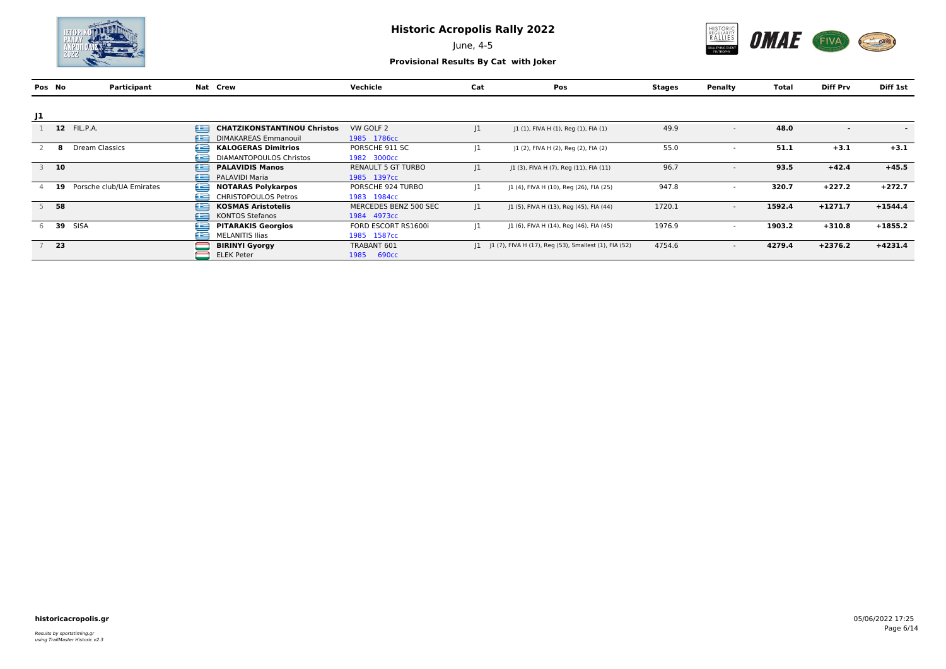

June, 4-5



|    | Pos No | Participant              |   | Nat Crew                           | Vechicle                  | Cat         | <b>Pos</b>                                               | Stages | Penalty                  | Total  | <b>Diff Prv</b>          | Diff 1st                 |
|----|--------|--------------------------|---|------------------------------------|---------------------------|-------------|----------------------------------------------------------|--------|--------------------------|--------|--------------------------|--------------------------|
|    |        |                          |   |                                    |                           |             |                                                          |        |                          |        |                          |                          |
| J1 |        |                          |   |                                    |                           |             |                                                          |        |                          |        |                          |                          |
|    |        | 12 FIL.P.A.              | £ | <b>CHATZIKONSTANTINOU Christos</b> | VW GOLF 2                 | $ 1\rangle$ | J1 (1), FIVA H (1), Reg (1), FIA (1)                     | 49.9   | $\overline{\phantom{0}}$ | 48.0   | $\overline{\phantom{0}}$ | $\overline{\phantom{0}}$ |
|    |        |                          | £ | <b>DIMAKAREAS Emmanouil</b>        | 1985 1786cc               |             |                                                          |        |                          |        |                          |                          |
|    |        | Dream Classics           | e | <b>KALOGERAS Dimitrios</b>         | PORSCHE 911 SC            | 11          | J1 (2), FIVA H (2), Reg (2), FIA (2)                     | 55.0   |                          | 51.1   | $+3.1$                   | $+3.1$                   |
|    |        |                          | £ | DIAMANTOPOULOS Christos            | 1982 3000cc               |             |                                                          |        |                          |        |                          |                          |
|    | $3$ 10 |                          | ≘ | <b>PALAVIDIS Manos</b>             | <b>RENAULT 5 GT TURBO</b> | $ 1\rangle$ | [1 (3), FIVA H (7), Reg (11), FIA (11)                   | 96.7   |                          | 93.5   | $+42.4$                  | $+45.5$                  |
|    |        |                          | £ | <b>PALAVIDI Maria</b>              | 1985 1397cc               |             |                                                          |        |                          |        |                          |                          |
|    | -19    | Porsche club/UA Emirates | e | <b>NOTARAS Polykarpos</b>          | PORSCHE 924 TURBO         | $ 1\rangle$ | [1 (4), FIVA H (10), Reg (26), FIA (25)                  | 947.8  |                          | 320.7  | $+227.2$                 | $+272.7$                 |
|    |        |                          | ص | <b>CHRISTOPOULOS Petros</b>        | 1983 1984cc               |             |                                                          |        |                          |        |                          |                          |
|    | 58     |                          | £ | <b>KOSMAS Aristotelis</b>          | MERCEDES BENZ 500 SEC     | $ 1\rangle$ | J1 (5), FIVA H (13), Reg (45), FIA (44)                  | 1720.1 | $\overline{\phantom{a}}$ | 1592.4 | $+1271.7$                | $+1544.4$                |
|    |        |                          | £ | <b>KONTOS Stefanos</b>             | 1984 4973cc               |             |                                                          |        |                          |        |                          |                          |
| h  | - 39   | SISA                     | Œ | <b>PITARAKIS Georgios</b>          | FORD ESCORT RS1600i       | 11          | J1 (6), FIVA H (14), Reg (46), FIA (45)                  | 1976.9 |                          | 1903.2 | $+310.8$                 | $+1855.2$                |
|    |        |                          | £ | <b>MELANITIS Ilias</b>             | 1985 1587cc               |             |                                                          |        |                          |        |                          |                          |
|    | $7$ 23 |                          |   | <b>BIRINYI Gyorgy</b>              | TRABANT 601               |             | [1 J] (7), FIVA H (17), Reg (53), Smallest (1), FIA (52) | 4754.6 | $\overline{\phantom{0}}$ | 4279.4 | $+2376.2$                | $+4231.4$                |
|    |        |                          |   | <b>ELEK Peter</b>                  | 1985<br><b>690cc</b>      |             |                                                          |        |                          |        |                          |                          |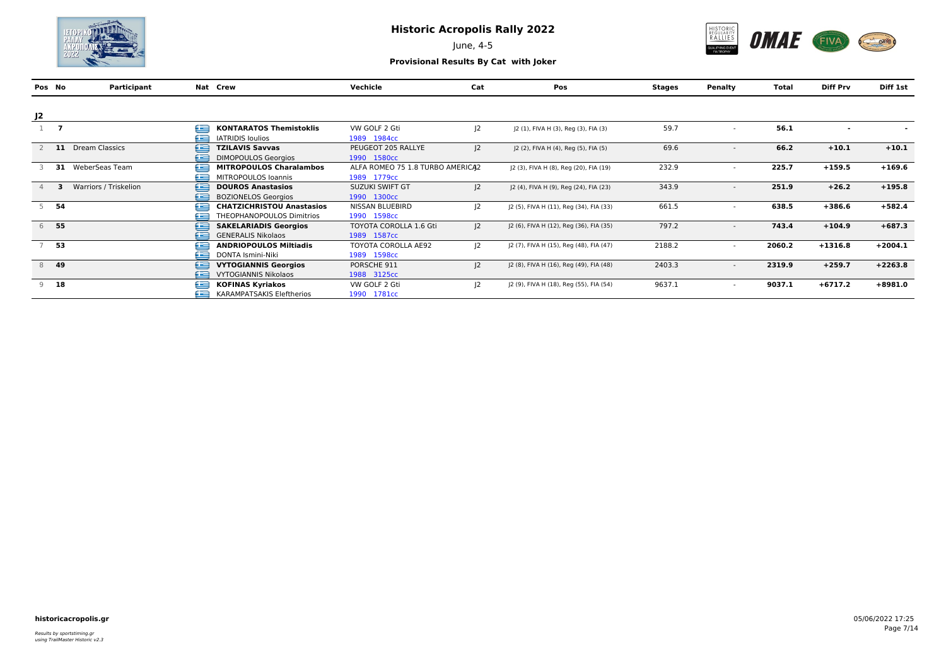

June, 4-5



|    | Pos No | Participant                | Nat Crew                         | Vechicle                         | Cat         | Pos                                     | Stages | Penalty                  | Total  | <b>Diff Prv</b> | Diff 1st  |
|----|--------|----------------------------|----------------------------------|----------------------------------|-------------|-----------------------------------------|--------|--------------------------|--------|-----------------|-----------|
|    |        |                            |                                  |                                  |             |                                         |        |                          |        |                 |           |
| J2 |        |                            |                                  |                                  |             |                                         |        |                          |        |                 |           |
|    |        | e                          | <b>KONTARATOS Themistoklis</b>   | VW GOLF 2 Gti                    | $ 2\rangle$ | J2 (1), FIVA H (3), Reg (3), FIA (3)    | 59.7   | $\overline{\phantom{a}}$ | 56.1   |                 |           |
|    |        | œ                          | <b>IATRIDIS Ioulios</b>          | 1989 1984cc                      |             |                                         |        |                          |        |                 |           |
|    | - 11   | ⊟<br>Dream Classics        | <b>TZILAVIS Savvas</b>           | PEUGEOT 205 RALLYE               | 2           | J2 (2), FIVA H (4), Reg (5), FIA (5)    | 69.6   | $\overline{\phantom{a}}$ | 66.2   | $+10.1$         | $+10.1$   |
|    |        | £                          | <b>DIMOPOULOS Georgios</b>       | 1990 1580cc                      |             |                                         |        |                          |        |                 |           |
|    | 31     | £<br>WeberSeas Team        | <b>MITROPOULOS Charalambos</b>   | ALFA ROMEO 75 1.8 TURBO AMERICA2 |             | [2 (3), FIVA H (8), Reg (20), FIA (19)  | 232.9  | $\overline{\phantom{0}}$ | 225.7  | $+159.5$        | $+169.6$  |
|    |        | œ                          | MITROPOULOS Ioannis              | 1989 1779cc                      |             |                                         |        |                          |        |                 |           |
|    |        | Warriors / Triskelion<br>£ | <b>DOUROS Anastasios</b>         | <b>SUZUKI SWIFT GT</b>           | 2           | J2 (4), FIVA H (9), Reg (24), FIA (23)  | 343.9  | $\overline{\phantom{a}}$ | 251.9  | $+26.2$         | $+195.8$  |
|    |        | £                          | <b>BOZIONELOS Georgios</b>       | 1990 1300cc                      |             |                                         |        |                          |        |                 |           |
|    | 54     | e                          | <b>CHATZICHRISTOU Anastasios</b> | NISSAN BLUEBIRD                  | 2           | J2 (5), FIVA H (11), Reg (34), FIA (33) | 661.5  | $\overline{\phantom{a}}$ | 638.5  | $+386.6$        | $+582.4$  |
|    |        | £                          | THEOPHANOPOULOS Dimitrios        | 1990 1598cc                      |             |                                         |        |                          |        |                 |           |
|    | 6 55   | £                          | <b>SAKELARIADIS Georgios</b>     | <b>TOYOTA COROLLA 1.6 Gti</b>    | 2           | J2 (6), FIVA H (12), Reg (36), FIA (35) | 797.2  | $\overline{\phantom{a}}$ | 743.4  | $+104.9$        | $+687.3$  |
|    |        | £                          | <b>GENERALIS Nikolaos</b>        | 1989 1587cc                      |             |                                         |        |                          |        |                 |           |
|    | 53     | £                          | <b>ANDRIOPOULOS Miltiadis</b>    | <b>TOYOTA COROLLA AE92</b>       | $ 2\rangle$ | J2 (7), FIVA H (15), Reg (48), FIA (47) | 2188.2 |                          | 2060.2 | $+1316.8$       | $+2004.1$ |
|    |        | £                          | DONTA Ismini-Niki                | 1989 1598cc                      |             |                                         |        |                          |        |                 |           |
|    | 8 49   | ⋐                          | <b>VYTOGIANNIS Georgios</b>      | PORSCHE 911                      | 2           | J2 (8), FIVA H (16), Reg (49), FIA (48) | 2403.3 | $\overline{\phantom{a}}$ | 2319.9 | $+259.7$        | $+2263.8$ |
|    |        | £                          | <b>VYTOGIANNIS Nikolaos</b>      | 1988 3125cc                      |             |                                         |        |                          |        |                 |           |
|    | $9$ 18 | ఆ                          | <b>KOFINAS Kyriakos</b>          | VW GOLF 2 Gti                    | 2           | J2 (9), FIVA H (18), Reg (55), FIA (54) | 9637.1 | $\overline{\phantom{a}}$ | 9037.1 | $+6717.2$       | $+8981.0$ |
|    |        | £                          | KARAMPATSAKIS Eleftherios        | 1990 1781cc                      |             |                                         |        |                          |        |                 |           |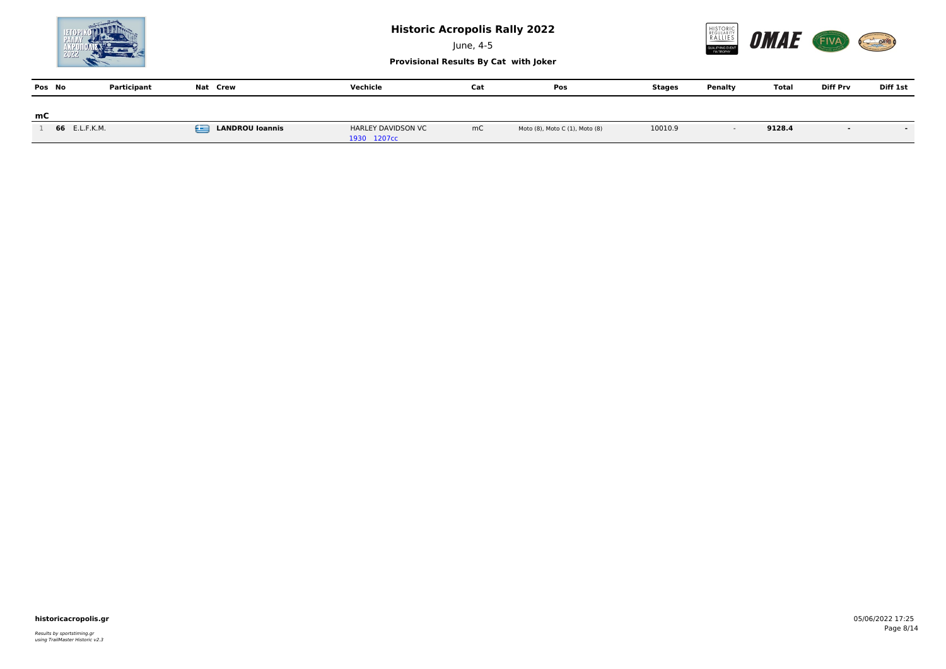

June, 4-5



**Provisional Results By Cat with Joker**

| Pos No |               | Participant | Nat Crew                    | Vechicle                          | Cat | Pos                            | Stages  | Penalty | Total  | <b>Diff Prv</b> | Diff 1st |
|--------|---------------|-------------|-----------------------------|-----------------------------------|-----|--------------------------------|---------|---------|--------|-----------------|----------|
| mC     |               |             |                             |                                   |     |                                |         |         |        |                 |          |
|        | 66 E.L.F.K.M. |             | £<br><b>LANDROU loannis</b> | HARLEY DAVIDSON VC<br>1930 1207cc | mC  | Moto (8), Moto C (1), Moto (8) | 10010.9 |         | 9128.4 |                 |          |

### **historicacropolis.gr** 05/06/2022 17:25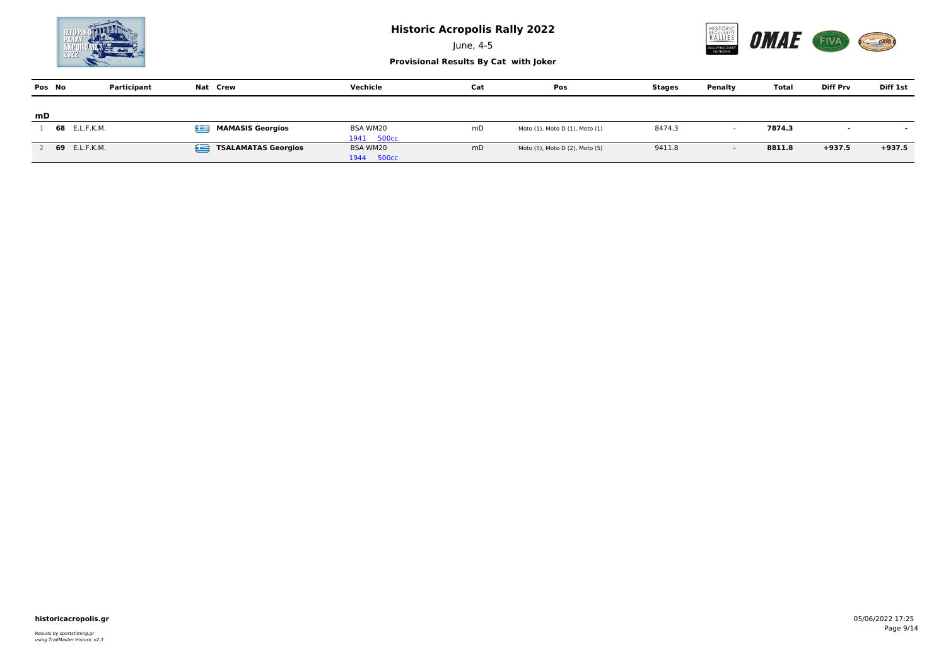

June, 4-5



| Pos No | Participant   | Nat Crew                        | Vechicle   | Cat | Pos                            | Stages | Penalty | Total  | <b>Diff Prv</b>          | Diff 1st |
|--------|---------------|---------------------------------|------------|-----|--------------------------------|--------|---------|--------|--------------------------|----------|
|        |               |                                 |            |     |                                |        |         |        |                          |          |
| mD     |               |                                 |            |     |                                |        |         |        |                          |          |
|        | 68 E.L.F.K.M. | œ<br><b>MAMASIS Georgios</b>    | BSA WM20   | mD  | Moto (1), Moto D (1), Moto (1) | 8474.3 |         | 7874.3 | $\overline{\phantom{a}}$ |          |
|        |               |                                 | 1941 500cc |     |                                |        |         |        |                          |          |
|        | 69 E.L.F.K.M. | œ<br><b>TSALAMATAS Georgios</b> | BSA WM20   | mD  | Moto (5), Moto D (2), Moto (5) | 9411.8 |         | 8811.8 | $+937.5$                 | $+937.5$ |
|        |               |                                 | 1944 500cc |     |                                |        |         |        |                          |          |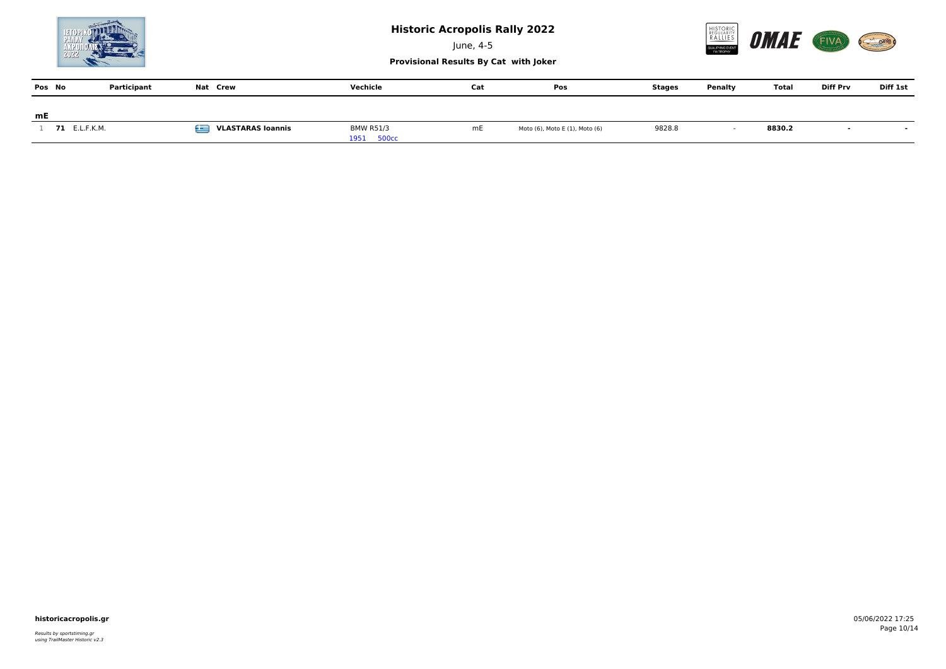

June, 4-5



**Provisional Results By Cat with Joker**

| Pos No |                      | Participant | Nat Crew                      | Vechicle                       | Cat | Pos                            | Stages | Penalty | Total  | <b>Diff Prv</b> | Diff 1st |
|--------|----------------------|-------------|-------------------------------|--------------------------------|-----|--------------------------------|--------|---------|--------|-----------------|----------|
|        |                      |             |                               |                                |     |                                |        |         |        |                 |          |
| mE     |                      |             |                               |                                |     |                                |        |         |        |                 |          |
|        | <b>71</b> E.L.F.K.M. |             | Æ<br><b>VLASTARAS loannis</b> | <b>BMW R51/3</b><br>1951 500cc | mE  | Moto (6), Moto E (1), Moto (6) | 9828.8 |         | 8830.2 |                 |          |

### **historicacropolis.gr** 05/06/2022 17:25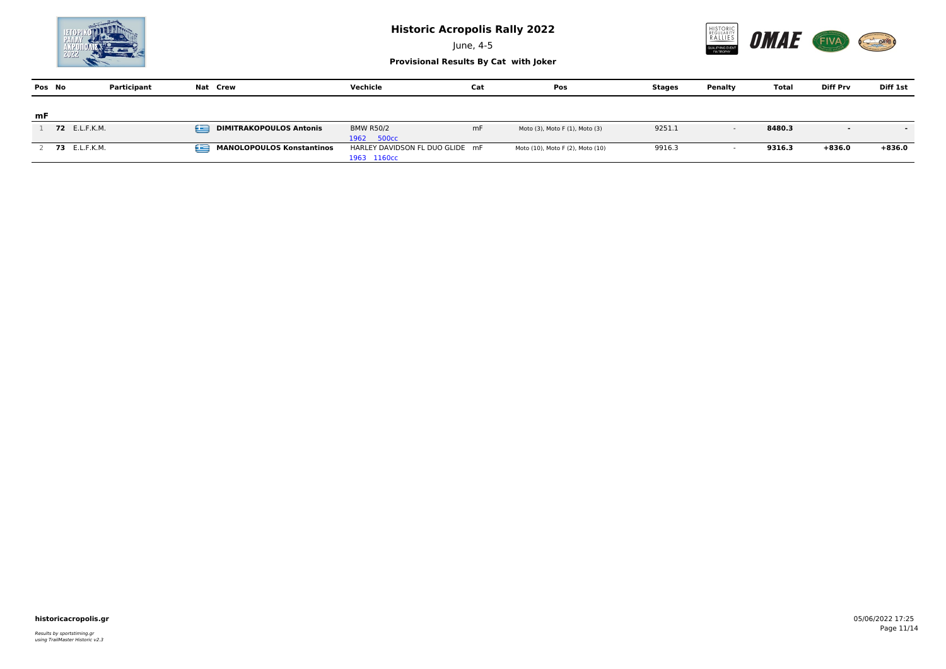

June, 4-5



| Pos No | Participant          | Nat Crew                              | Vechicle                        | Cat | Pos                              | Stages | Penalty | <b>Total</b> | <b>Diff Prv</b>          | Diff 1st                 |
|--------|----------------------|---------------------------------------|---------------------------------|-----|----------------------------------|--------|---------|--------------|--------------------------|--------------------------|
|        |                      |                                       |                                 |     |                                  |        |         |              |                          |                          |
| mF     |                      |                                       |                                 |     |                                  |        |         |              |                          |                          |
|        | 72 E.L.F.K.M.        | £<br><b>DIMITRAKOPOULOS Antonis</b>   | <b>BMW R50/2</b>                | mF  | Moto (3), Moto F (1), Moto (3)   | 9251.1 |         | 8480.3       | $\overline{\phantom{a}}$ | $\overline{\phantom{0}}$ |
|        |                      |                                       | 1962 500cc                      |     |                                  |        |         |              |                          |                          |
|        | <b>73</b> E.L.F.K.M. | œ<br><b>MANOLOPOULOS Konstantinos</b> | HARLEY DAVIDSON FL DUO GLIDE mF |     | Moto (10), Moto F (2), Moto (10) | 9916.3 |         | 9316.3       | $+836.0$                 | $+836.0$                 |
|        |                      |                                       | 1963 1160cc                     |     |                                  |        |         |              |                          |                          |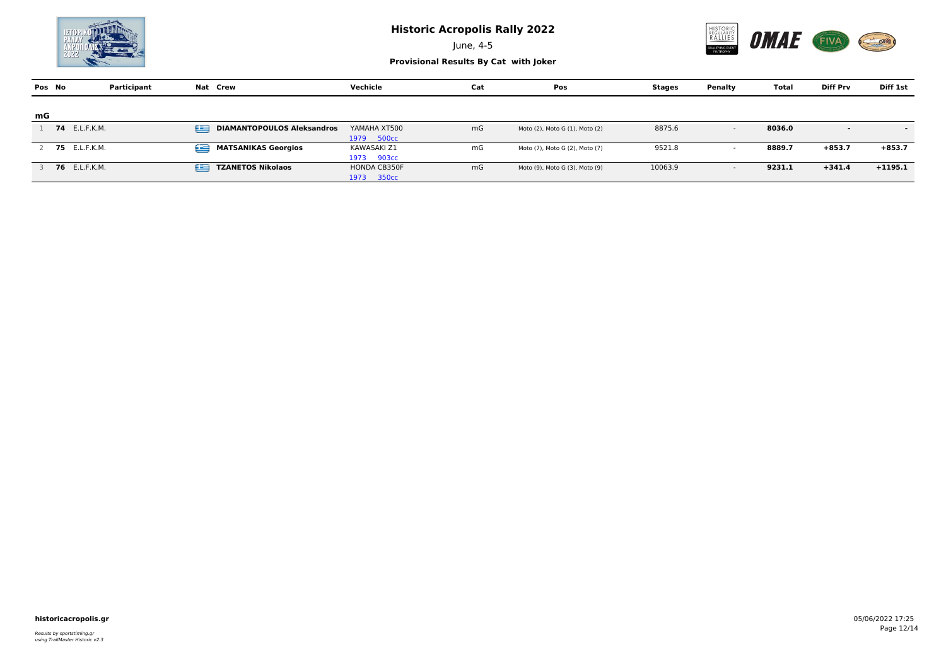

June, 4-5



**Provisional Results By Cat with Joker**

| Pos No | Participant          | Nat Crew                               | Vechicle                  | Cat | Pos                            | Stages  | Penalty | Total  | <b>Diff Prv</b>          | Diff 1st                 |
|--------|----------------------|----------------------------------------|---------------------------|-----|--------------------------------|---------|---------|--------|--------------------------|--------------------------|
|        |                      |                                        |                           |     |                                |         |         |        |                          |                          |
| mG     |                      |                                        |                           |     |                                |         |         |        |                          |                          |
|        | <b>74</b> E.L.F.K.M. | £<br><b>DIAMANTOPOULOS Aleksandros</b> | YAMAHA XT500              | mG  | Moto (2), Moto G (1), Moto (2) | 8875.6  | $\sim$  | 8036.0 | $\overline{\phantom{a}}$ | $\overline{\phantom{a}}$ |
|        |                      |                                        | 1979 500cc                |     |                                |         |         |        |                          |                          |
|        | <b>75</b> E.L.F.K.M. | œ<br><b>MATSANIKAS Georgios</b>        | KAWASAKI Z1               | mG  | Moto (7), Moto G (2), Moto (7) | 9521.8  |         | 8889.7 | $+853.7$                 | $+853.7$                 |
|        |                      |                                        | 1973 903cc                |     |                                |         |         |        |                          |                          |
|        | 76 E.L.F.K.M.        | £<br><b>TZANETOS Nikolaos</b>          | <b>HONDA CB350F</b>       | mG  | Moto (9), Moto G (3), Moto (9) | 10063.9 | $\sim$  | 9231.1 | $+341.4$                 | $+1195.1$                |
|        |                      |                                        | 350 <sub>cc</sub><br>1973 |     |                                |         |         |        |                          |                          |

### **historicacropolis.gr** 05/06/2022 17:25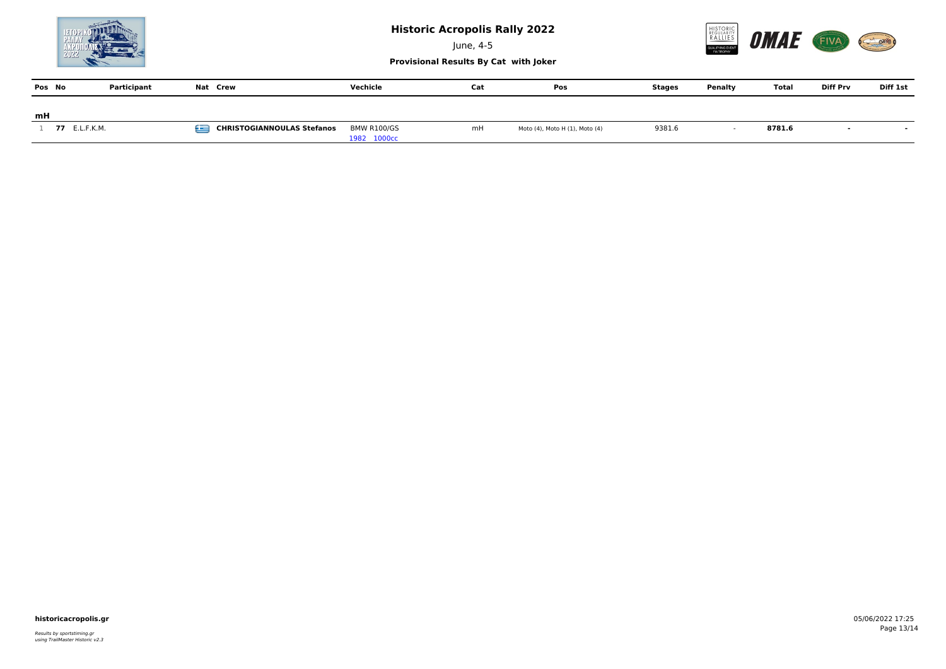

June, 4-5



**Provisional Results By Cat with Joker**

| Pos No |               | Participant | Nat Crew                               | Vechicle           | Cat | Pos                            | Stages | Penalty | Total  | <b>Diff Prv</b> | Diff 1st                 |
|--------|---------------|-------------|----------------------------------------|--------------------|-----|--------------------------------|--------|---------|--------|-----------------|--------------------------|
|        |               |             |                                        |                    |     |                                |        |         |        |                 |                          |
| mH     |               |             |                                        |                    |     |                                |        |         |        |                 |                          |
|        | 77 E.L.F.K.M. |             | œ<br><b>CHRISTOGIANNOULAS Stefanos</b> | <b>BMW R100/GS</b> | mH  | Moto (4), Moto H (1), Moto (4) | 9381.6 |         | 8781.6 |                 | $\overline{\phantom{a}}$ |
|        |               |             |                                        | 1982 1000cc        |     |                                |        |         |        |                 |                          |

### **historicacropolis.gr** 05/06/2022 17:25